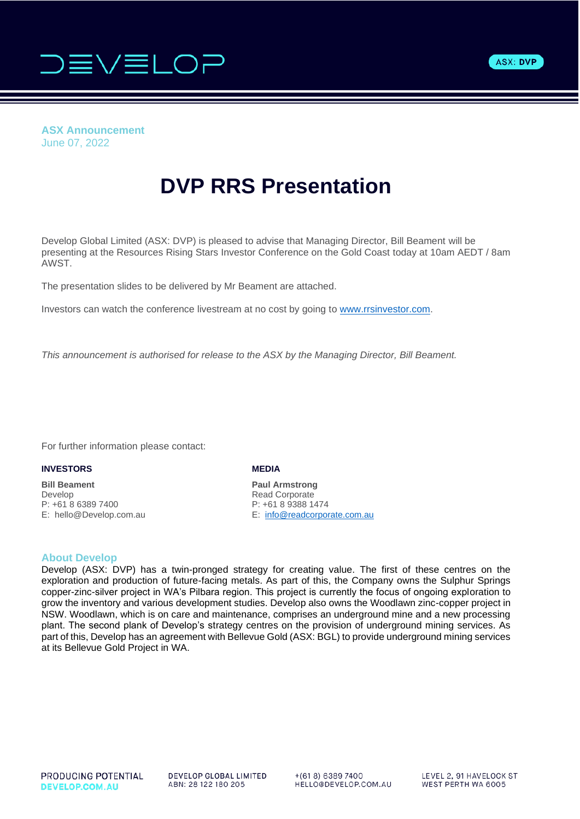



**ASX Announcement** June 07, 2022

### **DVP RRS Presentation**

Develop Global Limited (ASX: DVP) is pleased to advise that Managing Director, Bill Beament will be presenting at the Resources Rising Stars Investor Conference on the Gold Coast today at 10am AEDT / 8am AWST.

The presentation slides to be delivered by Mr Beament are attached.

Investors can watch the conference livestream at no cost by going to [www.rrsinvestor.com.](http://www.rrsinvestor.com/)

*This announcement is authorised for release to the ASX by the Managing Director, Bill Beament.*

For further information please contact:

### **INVESTORS** MEDIA

**Bill Beament Paul Armstrong** Develop<br>
P: +61 8 6389 7400<br>
P: +61 8 9388 14 P: +61 8 6389 7400 P: +61 8 9388 1474

E: [info@readcorporate.com.au](mailto:info@readcorporate.com.au)

### **About Develop**

Develop (ASX: DVP) has a twin-pronged strategy for creating value. The first of these centres on the exploration and production of future-facing metals. As part of this, the Company owns the Sulphur Springs copper-zinc-silver project in WA's Pilbara region. This project is currently the focus of ongoing exploration to grow the inventory and various development studies. Develop also owns the Woodlawn zinc-copper project in NSW. Woodlawn, which is on care and maintenance, comprises an underground mine and a new processing plant. The second plank of Develop's strategy centres on the provision of underground mining services. As part of this, Develop has an agreement with Bellevue Gold (ASX: BGL) to provide underground mining services at its Bellevue Gold Project in WA.

PRODUCING POTENTIAL **DEVELOP.COM.AU** 

DEVELOP GLOBAL LIMITED ABN: 28 122 180 205

 $+(618) 6389 7400$ HELLO@DEVELOP.COM.AU LEVEL 2, 91 HAVELOCK ST WEST PERTH WA 6005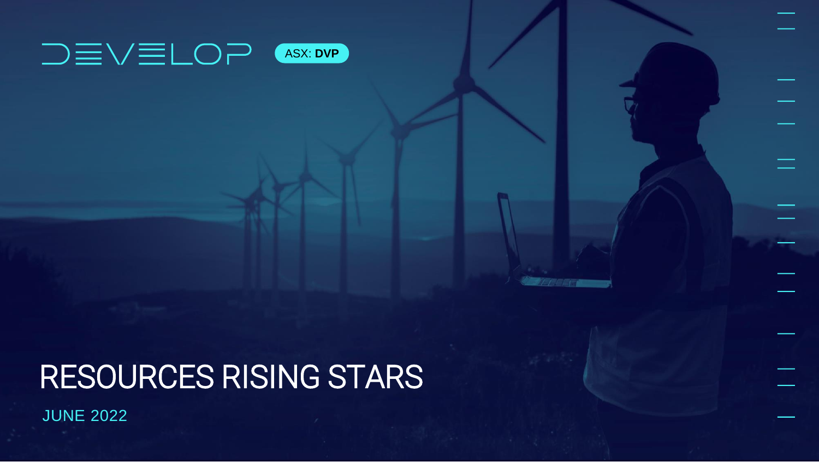### DEVELOP

### ASX: **DVP**

## RESOURCES RISING STARS

JUNE 2022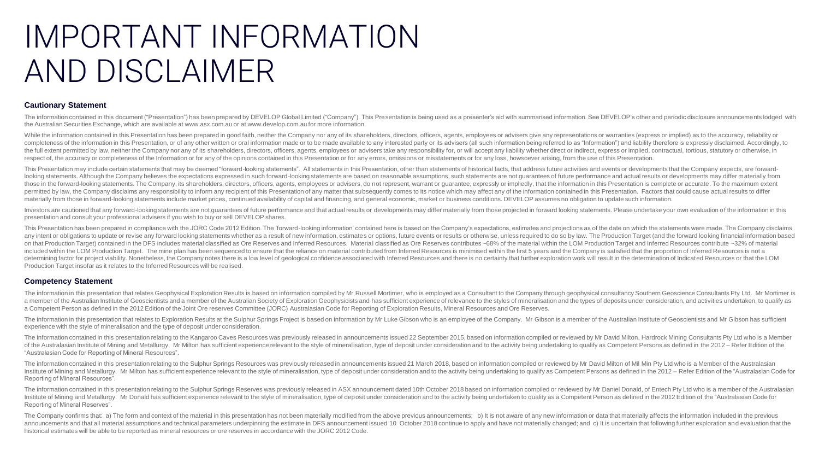## IMPORTANT INFORMATION AND DISCLAIMER

#### **Cautionary Statement**

The information contained in this document ("Presentation") has been prepared by DEVELOP Global Limited ("Company"). This Presentation is being used as a presenter's aid with summarised information. See DEVELOP's other and the Australian Securities Exchange, which are available at www.asx.com.au or at www.develop.com.au for more information.

While the information contained in this Presentation has been prepared in good faith peither the Company nor any of its shareholders, directors, officers, agents, employees or advisers give any representations or warrantie completeness of the information in this Presentation, or of any other written or oral information made or to be made available to any interested party or its advisers (all such information being referred to as "Information the full extent permitted by law, neither the Company nor any of its shareholders, directors, officers, agents, employees or advisers take any responsibility for, or will accept any liability whether direct, express or imp respect of, the accuracy or completeness of the Information or for any of the opinions contained in this Presentation or for any errors, omissions or misstatements or for any loss, howsoever arising, from the use of this P

This Presentation may include certain statements that may be deemed "forward-looking statements". All statements in this Presentation, other than statements of historical facts, that address future activities and events or looking statements. Although the Company believes the expectations expressed in such forward-looking statements are based on reasonable assumptions, such statements are not quarantees of future performance and actual resul those in the forward-looking statements. The Company, its shareholders, directors, officers, agents, employees or advisers, do not represent, warrant or quarantee, expressly or impliedly, that the information in this Prese permitted by law, the Company disclaims any responsibility to inform any recipient of this Presentation of any matter that subsequently comes to its notice which may affect any of the information contained in this Presenta materially from those in forward-looking statements include market prices, continued availability of capital and financing, and general economic, market or business conditions. DEVELOP assumes no obligation to update such

Investors are cautioned that any forward-looking statements are not quarantees of future performance and that actual results or developments may differ materially from those projected in forward looking statements. Please presentation and consult your professional advisers if you wish to buy or sell DEVELOP shares.

This Presentation has been prepared in compliance with the JORC Code 2012 Edition. The 'forward-looking information' contained here is based on the Company's expectations, estimates and projections as of the date on which any intent or obligations to update or revise any forward looking statements whether as a result of new information, estimates or options, future events or results or otherwise, unless required to do so by law. The Product on that Production Target) contained in the DFS includes material classified as Ore Reserves and Inferred Resources. Material classified as Ore Reserves contributes -68% of the material within the LOM Production Target and included within the LOM Production Target. The mine plan has been sequenced to ensure that the reliance on material contributed from Inferred Resources is minimised within the first 5 years and the Company is satisfied tha determining factor for project viability. Nonetheless, the Company notes there is a low level of geological confidence associated with Inferred Resources and there is no certainty that further exploration work will result Production Target insofar as it relates to the Inferred Resources will be realised.

#### **Competency Statement**

The information in this presentation that relates Geophysical Exploration Results is based on information compiled by Mr Russell Mortimer, who is employed as a Consultant to the Company through geophysical consultancy Sout a member of the Australian Institute of Geoscientists and a member of the Australian Society of Exploration Geophysicists and has sufficient experience of relevance to the styles of mineralisation and the types of deposits a Competent Person as defined in the 2012 Edition of the Joint Ore reserves Committee (JORC) Australasian Code for Reporting of Exploration Results, Mineral Resources and Ore Reserves.

The information in this presentation that relates to Exploration Results at the Sulphur Springs Project is based on information by Mr Luke Gibson who is an employee of the Company. Mr Gibson is a member of the Australian I experience with the style of mineralisation and the type of deposit under consideration.

The information contained in this presentation relating to the Kangaroo Caves Resources was previously released in announcements issued 22 September 2015, based on information compiled or reviewed by Mr David Milton. Hardr of the Australasian Institute of Mining and Metallurgy. Mr Milton has sufficient experience relevant to the style of mineralisation, type of deposit under consideration and to the activity being undertaking to qualify as C "Australasian Code for Reporting of Mineral Resources".

The information contained in this presentation relating to the Sulphur Springs Resources was previously released in announcements issued 21 March 2018, based on information compiled or reviewed by Mr David Milton of Mil Mi Institute of Mining and Metallurgy. Mr Milton has sufficient experience relevant to the style of mineralisation, type of deposit under consideration and to the activity being undertaking to qualify as Competent Persons as Reporting of Mineral Resources".

The information contained in this presentation relating to the Sulphur Springs Reserves was previously released in ASX announcement dated 10th October 2018 based on information compiled or reviewed by Mr Daniel Donald, of Institute of Mining and Metallurov. Mr Donald has sufficient experience relevant to the style of mineralisation, type of deposit under consideration and to the activity being undertaken to quality as a Competent Person as Reporting of Mineral Reserves".

The Company confirms that: a) The form and context of the material in this presentation has not been materially modified from the above previous announcements: b) It is not aware of any new information or data that materia announcements and that all material assumptions and technical parameters underpinning the estimate in DFS announcement issued 10 October 2018 continue to apply and have not materially changed: and c) It is uncertain that f historical estimates will be able to be reported as mineral resources or ore reserves in accordance with the JORC 2012 Code.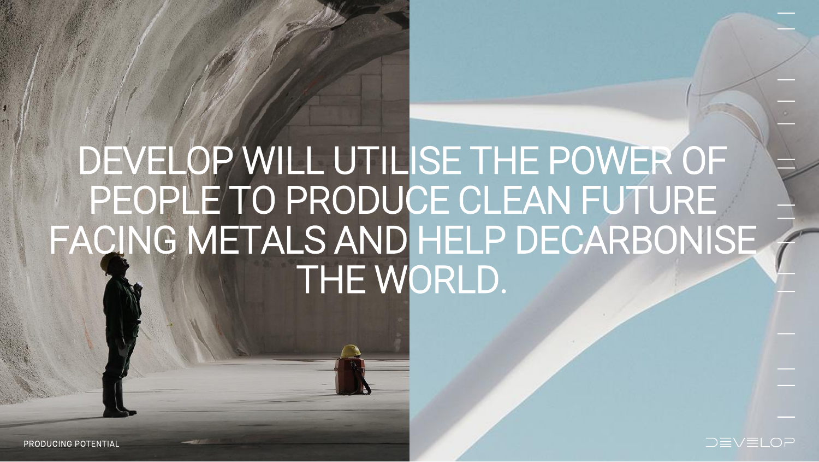# DEVELOP WILL UTILISE THE POWER OF PEOPLE TO PRODUCE CLEAN FUTURE FACING METALS AND HELP DECARBONISE THE WORLD.

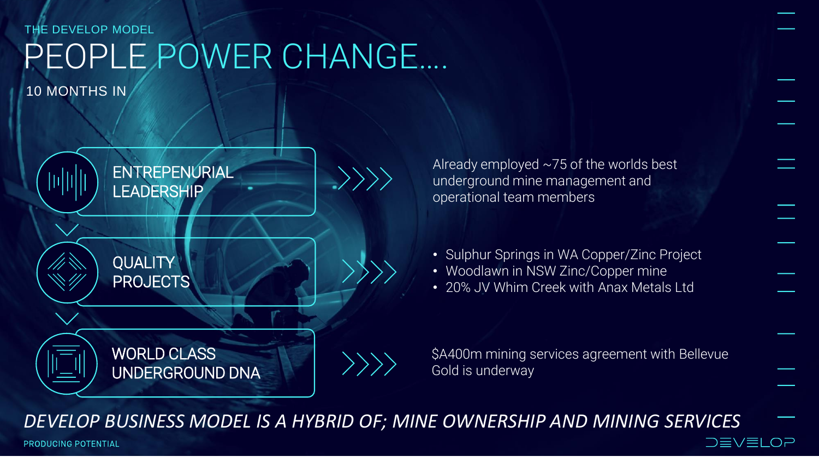### THE DEVELOP MODEL PEOPLE POWER CHANGE….

10 MONTHS IN



Already employed  $\sim$  75 of the worlds best underground mine management and operational team members

- Sulphur Springs in WA Copper/Zinc Project
- Woodlawn in NSW Zinc/Copper mine
- 20% JV Whim Creek with Anax Metals Ltd

\$A400m mining services agreement with Bellevue Gold is underway

*DEVELOP BUSINESS MODEL IS A HYBRID OF; MINE OWNERSHIP AND MINING SERVICES*つミソミ ロア PRODUCING POTENTIAL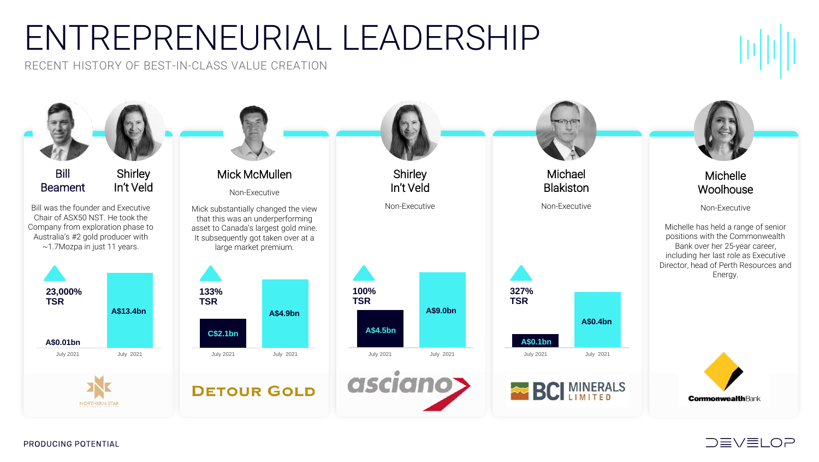## ENTREPRENEURIAL LEADERSHIP

RECENT HISTORY OF BEST-IN-CLASS VALUE CREATION



### つミソミ ロア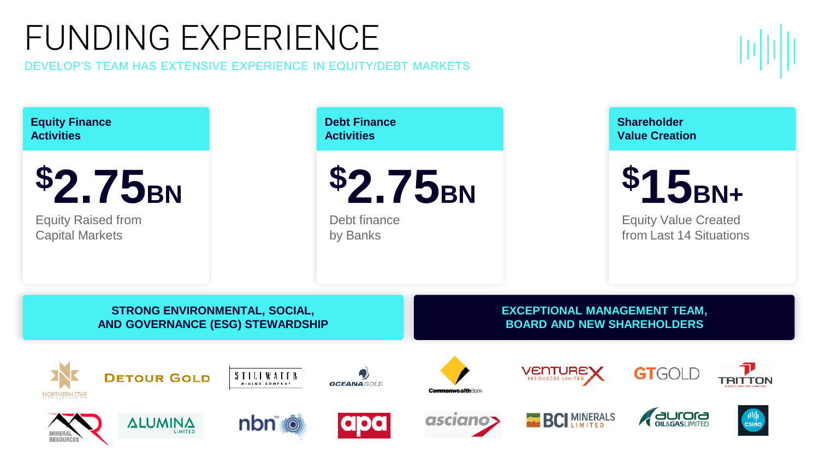# FUNDING EXPERIENCE

DEVELOP'S TEAM HAS EXTENSIVE EXPERIENCE IN EQUITY/DEBT MARKETS





**Shareholder Value Creation**



Equity Value Created from Last 14 Situations

**EXCEPTIONAL MANAGEMENT TEAM, BOARD AND NEW SHAREHOLDERS**



**GT**GOLD

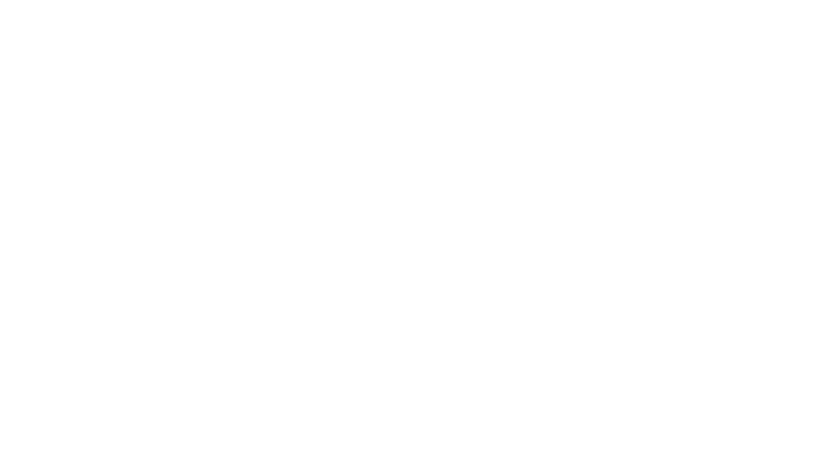#### For further information please contact:

#### **INVESTORS**

**Bill Beament** Develop P: +61 8 6389 7400 E: hello@Develop.com.au

#### **MEDIA**

Paul Armstrong Read Corporate P: +61 8 9388 1474 E: info@readcorporate.com.au

### **About Develop**

Develop (ASX: DVP) has a twin-pronged strategy for creating value. The first of these centres on the exploration and production of future-facing metals. As part of this, the Company owns the Sulphur Springs copper-zinc-rhkudg ognidbs hm V@ r Ohka g gdfhnm- Sghr ognidbs hr btggdmokationed enbtr ne nr grow the inventory and various development studies. Develop also owns the Woodlawn zinc-copper project in NSW, Woodlawn, which is on care and maintenance, comprises an underground mine and a new processing ok ms- Sqd rdbnmc ok mi ne ratequilementres on the provision of underground mining services. As part of this, Develop has an agreement with Bellevue Gold (ASX: BGL) to provide underground mining services at its Bellevue Gold Project in WA.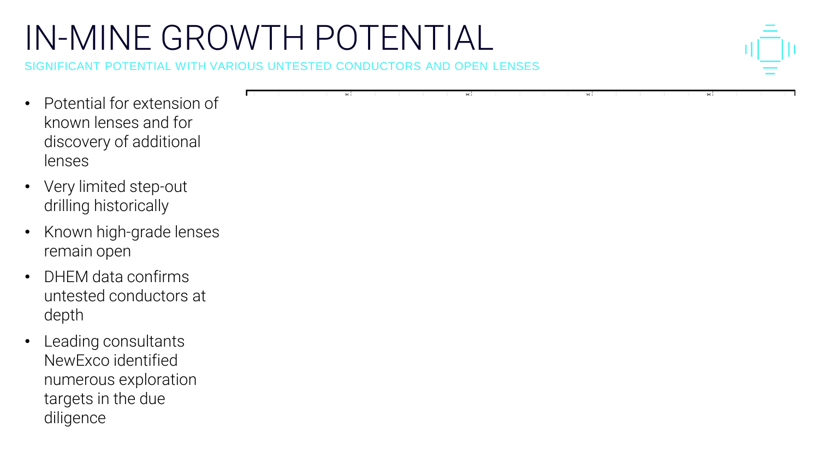# IN-MINE GROWTH POTENTIAL

SIGNIFICANT POTENTIAL WITH VARIOUS UNTESTED CONDUCTORS AND OPEN LENSES

- Potential for extension of known lenses and for discovery of additional lenses
- Very limited step-out drilling historically
- Known high-grade lenses remain open
- DHEM data confirms untested conductors at depth
- Leading consultants NewExco identified numerous exploration targets in the due diligence

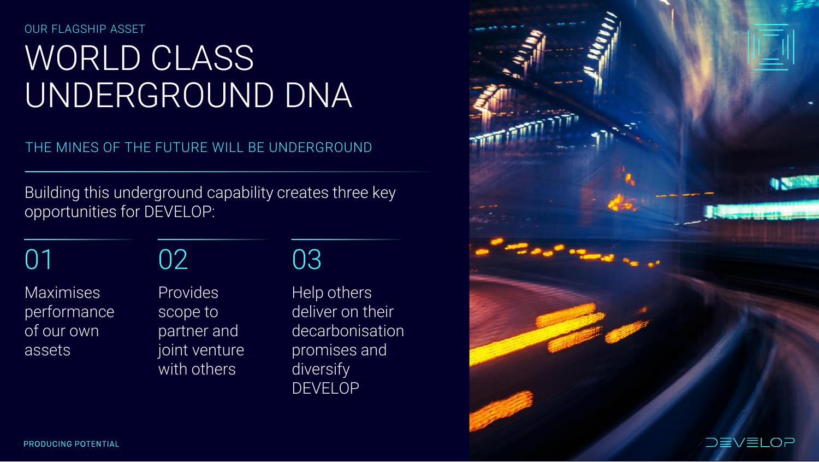### OUR FLAGSHIP ASSET

## WORLD CLASS UNDERGROUND DNA

### THE MINES OF THE FUTURE WILL BE UNDERGROUND

Building this underground capability creates three key opportunities for DEVELOP:

### 01

**Maximises** performance of our own assets

### 02

Provides scope to partner and joint venture with others

### 03

Help others deliver on their decarbonisation promises and diversify DEVELOP

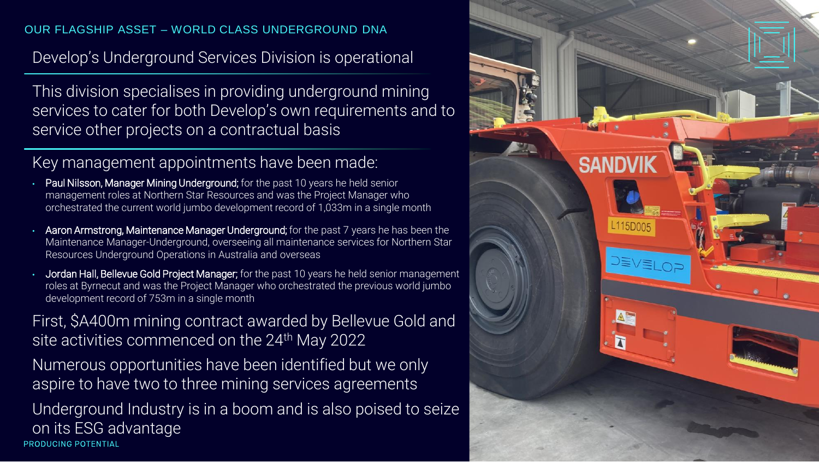### OUR FLAGSHIP ASSET – WORLD CLASS UNDERGROUND DNA

Develop's Underground Services Division is operational

This division specialises in providing underground mining services to cater for both Develop's own requirements and to service other projects on a contractual basis

### Key management appointments have been made:

- Paul Nilsson, Manager Mining Underground; for the past 10 years he held senior management roles at Northern Star Resources and was the Project Manager who orchestrated the current world jumbo development record of 1,033m in a single month
- Aaron Armstrong, Maintenance Manager Underground; for the past 7 years he has been the Maintenance Manager-Underground, overseeing all maintenance services for Northern Star Resources Underground Operations in Australia and overseas
- Jordan Hall, Bellevue Gold Project Manager; for the past 10 years he held senior management roles at Byrnecut and was the Project Manager who orchestrated the previous world jumbo development record of 753m in a single month

First, \$A400m mining contract awarded by Bellevue Gold and site activities commenced on the 24<sup>th</sup> May 2022

Numerous opportunities have been identified but we only aspire to have two to three mining services agreements

Underground Industry is in a boom and is also poised to seize on its ESG advantage **PRODUCING POTENTIAL** 

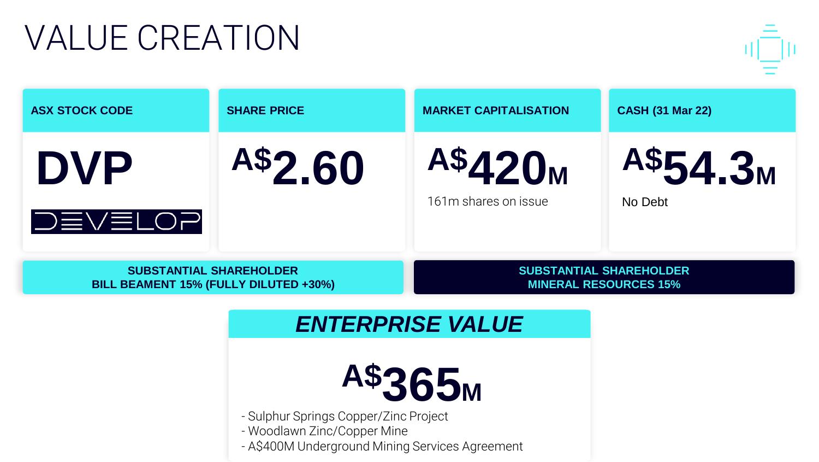## VALUE CREATION



| <b>ASX STOCK CODE</b>                                                   | <b>SHARE PRICE</b> | <b>MARKET CAPITALISATION</b>                                   | <b>CASH (31 Mar 22)</b> |  |  |  |  |
|-------------------------------------------------------------------------|--------------------|----------------------------------------------------------------|-------------------------|--|--|--|--|
| <b>DVP</b><br>DEVELOP                                                   | A\$2.60            | A\$420 <sub>M</sub><br>161m shares on issue                    | A\$54.3M<br>No Debt     |  |  |  |  |
| <b>SUBSTANTIAL SHAREHOLDER</b><br>BILL BEAMENT 15% (FULLY DILUTED +30%) |                    | <b>SUBSTANTIAL SHAREHOLDER</b><br><b>MINERAL RESOURCES 15%</b> |                         |  |  |  |  |
|                                                                         |                    |                                                                |                         |  |  |  |  |
| A\$365 <sub>M</sub>                                                     |                    |                                                                |                         |  |  |  |  |
|                                                                         |                    |                                                                |                         |  |  |  |  |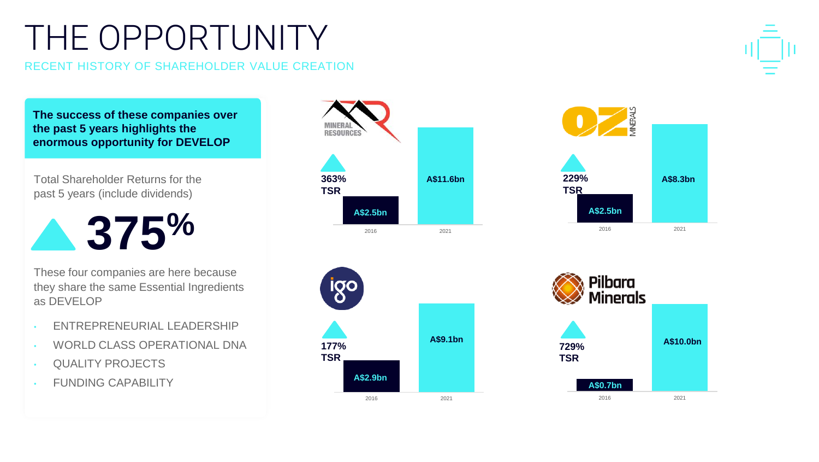# THE OPPORTUNITY

RECENT HISTORY OF SHAREHOLDER VALUE CREATION

**The success of these companies over the past 5 years highlights the enormous opportunity for DEVELOP**

Total Shareholder Returns for the past 5 years (include dividends)

**375%**

These four companies are here because they share the same Essential Ingredients as DEVELOP

- ENTREPRENEURIAL LEADERSHIP
- WORLD CLASS OPERATIONAL DNA
- QUALITY PROJECTS
- FUNDING CAPABILITY









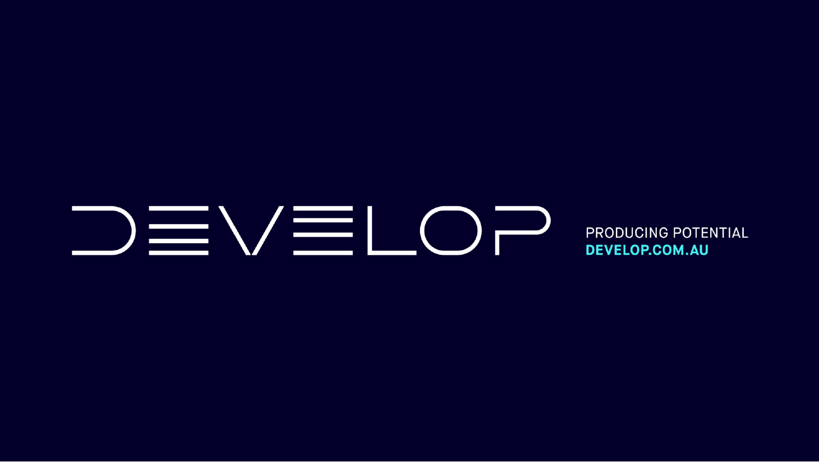### DEVELOP **PRODUCING POTENTIAL** DEVELOP.COM.AU